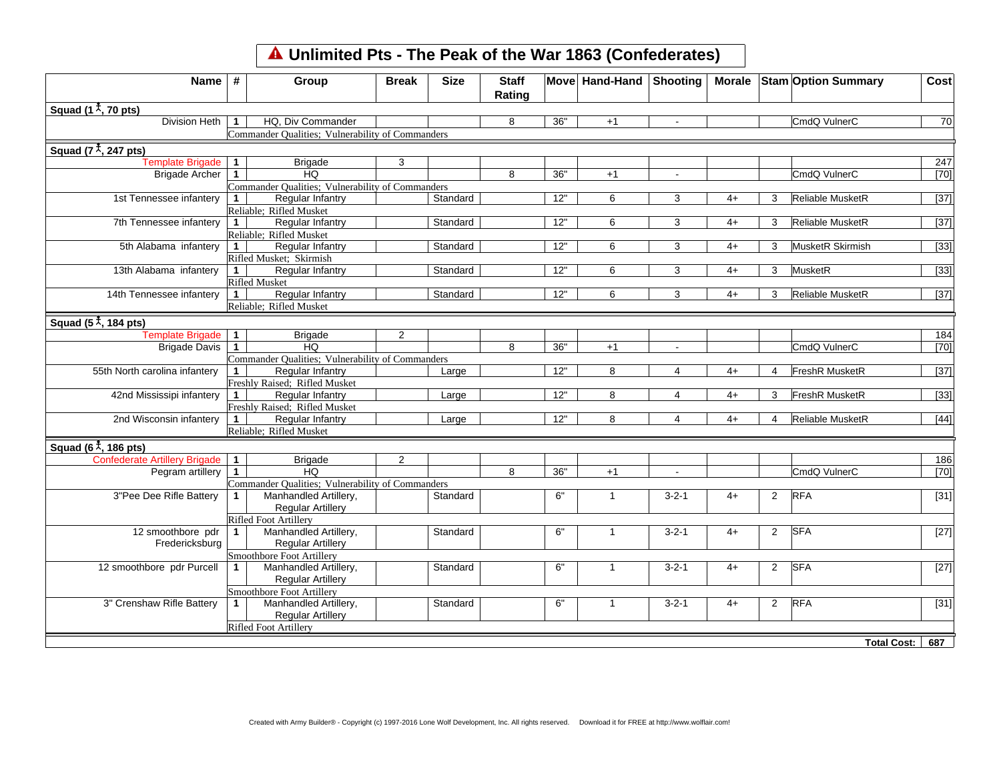## **Unlimited Pts - The Peak of the War 1863 (Confederates)**

| Squad $(11, 70$ pts)<br><b>Division Heth</b><br>HQ. Div Commander<br>36"<br>CmdQ VulnerC<br>$\mathbf{1}$<br>8<br>$+1$<br>Commander Qualities; Vulnerability of Commanders<br>Squad $(7^{\frac{4}{3}}, 247 \text{ pts})$<br><b>Template Brigade</b><br>$\mathbf{1}$<br><b>Brigade</b><br>3<br>36"<br>CmdQ VulnerC<br><b>Brigade Archer</b><br>$\mathbf{1}$<br>HQ<br>8<br>$+1$<br>$\blacksquare$<br>Commander Qualities; Vulnerability of Commanders<br>1st Tennessee infantery<br>12"<br>6<br>Reliable MusketR<br>$\mathbf{1}$<br>Regular Infantry<br>Standard<br>3<br>$4+$<br>3<br>Reliable; Rifled Musket<br>Regular Infantry<br>12"<br>Reliable MusketR<br>7th Tennessee infantery<br>Standard<br>3<br>$\mathbf 1$<br>6<br>4+<br>3<br>Reliable; Rifled Musket<br>12"<br>5th Alabama infantery<br>Regular Infantry<br>Standard<br>6<br>3<br>MusketR Skirmish<br>$1 \vert$<br>4+<br>3<br>Rifled Musket; Skirmish<br>13th Alabama infantery<br>Standard<br>12"<br>3<br>MusketR<br>Regular Infantry<br>6<br>$4+$<br>3<br>1 <sup>1</sup><br><b>Rifled Musket</b><br>14th Tennessee infantery<br>Regular Infantry<br>12"<br>1<br>Standard<br>6<br>3<br>$4+$<br><b>Reliable MusketR</b><br>3<br>Reliable; Rifled Musket<br>Squad $(5^{\frac{4}{5}}, 184 \text{ pts})$<br><b>Template Brigade</b><br>$\mathbf{1}$<br><b>Brigade</b><br>$\overline{2}$<br>HQ<br>36"<br>CmdQ VulnerC<br><b>Brigade Davis</b><br>$\mathbf{1}$<br>8<br>$+1$<br>$\blacksquare$<br>Commander Qualities; Vulnerability of Commanders<br>55th North carolina infantery<br>12"<br><b>FreshR MusketR</b><br>$\mathbf{1}$<br>Regular Infantry<br>8<br>$\overline{4}$<br>$4+$<br>Large<br>$\boldsymbol{\Delta}$<br>Freshly Raised; Rifled Musket<br>12"<br>42nd Mississipi infantery<br>Regular Infantry<br>8<br>$\overline{4}$<br>$4+$<br>FreshR MusketR<br>Large<br>3<br>1<br>Freshly Raised; Rifled Musket<br>2nd Wisconsin infantery<br>Regular Infantry<br>12"<br>8<br><b>Reliable MusketR</b><br>$\mathbf{1}$<br>Large<br>4<br>$4+$<br>4<br>Reliable; Rifled Musket<br>Squad (6 $\overline{x}$ , 186 pts)<br><b>Confederate Artillery Brigade</b><br>$\overline{2}$<br>$\mathbf{1}$<br><b>Brigade</b><br>Pegram artillery<br>$\mathbf{1}$<br>HQ<br>8<br>36"<br>CmdQ VulnerC<br>$+1$<br>Commander Qualities; Vulnerability of Commanders<br><b>RFA</b><br>3"Pee Dee Rifle Battery<br>Manhandled Artillery,<br>Standard<br>6"<br>$3 - 2 - 1$<br>2<br>$\mathbf{1}$<br>$4+$<br>$\mathbf{1}$<br><b>Regular Artillery</b><br><b>Rifled Foot Artillery</b><br><b>SFA</b><br>12 smoothbore pdr<br>6"<br>Manhandled Artillery,<br>Standard<br>$3 - 2 - 1$<br>2<br>$\mathbf{1}$<br>$\mathbf{1}$<br>$4+$<br>Fredericksburg<br><b>Regular Artillery</b><br>Smoothbore Foot Artillery<br>6"<br><b>SFA</b><br>12 smoothbore pdr Purcell<br>Manhandled Artillery,<br>$\overline{1}$<br>$3 - 2 - 1$<br>$\overline{2}$<br>$\mathbf{1}$<br>Standard<br>$4+$<br><b>Regular Artillery</b> |                   |
|-------------------------------------------------------------------------------------------------------------------------------------------------------------------------------------------------------------------------------------------------------------------------------------------------------------------------------------------------------------------------------------------------------------------------------------------------------------------------------------------------------------------------------------------------------------------------------------------------------------------------------------------------------------------------------------------------------------------------------------------------------------------------------------------------------------------------------------------------------------------------------------------------------------------------------------------------------------------------------------------------------------------------------------------------------------------------------------------------------------------------------------------------------------------------------------------------------------------------------------------------------------------------------------------------------------------------------------------------------------------------------------------------------------------------------------------------------------------------------------------------------------------------------------------------------------------------------------------------------------------------------------------------------------------------------------------------------------------------------------------------------------------------------------------------------------------------------------------------------------------------------------------------------------------------------------------------------------------------------------------------------------------------------------------------------------------------------------------------------------------------------------------------------------------------------------------------------------------------------------------------------------------------------------------------------------------------------------------------------------------------------------------------------------------------------------------------------------------------------------------------------------------------------------------------------------------------------------------------------------------------------------------------------------------------------------------------------------------------------------------------------------------------------------------------------------------------------------------------------------------------------------------------------------------------------------------|-------------------|
|                                                                                                                                                                                                                                                                                                                                                                                                                                                                                                                                                                                                                                                                                                                                                                                                                                                                                                                                                                                                                                                                                                                                                                                                                                                                                                                                                                                                                                                                                                                                                                                                                                                                                                                                                                                                                                                                                                                                                                                                                                                                                                                                                                                                                                                                                                                                                                                                                                                                                                                                                                                                                                                                                                                                                                                                                                                                                                                                           |                   |
|                                                                                                                                                                                                                                                                                                                                                                                                                                                                                                                                                                                                                                                                                                                                                                                                                                                                                                                                                                                                                                                                                                                                                                                                                                                                                                                                                                                                                                                                                                                                                                                                                                                                                                                                                                                                                                                                                                                                                                                                                                                                                                                                                                                                                                                                                                                                                                                                                                                                                                                                                                                                                                                                                                                                                                                                                                                                                                                                           | 70                |
|                                                                                                                                                                                                                                                                                                                                                                                                                                                                                                                                                                                                                                                                                                                                                                                                                                                                                                                                                                                                                                                                                                                                                                                                                                                                                                                                                                                                                                                                                                                                                                                                                                                                                                                                                                                                                                                                                                                                                                                                                                                                                                                                                                                                                                                                                                                                                                                                                                                                                                                                                                                                                                                                                                                                                                                                                                                                                                                                           |                   |
|                                                                                                                                                                                                                                                                                                                                                                                                                                                                                                                                                                                                                                                                                                                                                                                                                                                                                                                                                                                                                                                                                                                                                                                                                                                                                                                                                                                                                                                                                                                                                                                                                                                                                                                                                                                                                                                                                                                                                                                                                                                                                                                                                                                                                                                                                                                                                                                                                                                                                                                                                                                                                                                                                                                                                                                                                                                                                                                                           |                   |
|                                                                                                                                                                                                                                                                                                                                                                                                                                                                                                                                                                                                                                                                                                                                                                                                                                                                                                                                                                                                                                                                                                                                                                                                                                                                                                                                                                                                                                                                                                                                                                                                                                                                                                                                                                                                                                                                                                                                                                                                                                                                                                                                                                                                                                                                                                                                                                                                                                                                                                                                                                                                                                                                                                                                                                                                                                                                                                                                           | 247               |
|                                                                                                                                                                                                                                                                                                                                                                                                                                                                                                                                                                                                                                                                                                                                                                                                                                                                                                                                                                                                                                                                                                                                                                                                                                                                                                                                                                                                                                                                                                                                                                                                                                                                                                                                                                                                                                                                                                                                                                                                                                                                                                                                                                                                                                                                                                                                                                                                                                                                                                                                                                                                                                                                                                                                                                                                                                                                                                                                           | $[70]$            |
|                                                                                                                                                                                                                                                                                                                                                                                                                                                                                                                                                                                                                                                                                                                                                                                                                                                                                                                                                                                                                                                                                                                                                                                                                                                                                                                                                                                                                                                                                                                                                                                                                                                                                                                                                                                                                                                                                                                                                                                                                                                                                                                                                                                                                                                                                                                                                                                                                                                                                                                                                                                                                                                                                                                                                                                                                                                                                                                                           |                   |
|                                                                                                                                                                                                                                                                                                                                                                                                                                                                                                                                                                                                                                                                                                                                                                                                                                                                                                                                                                                                                                                                                                                                                                                                                                                                                                                                                                                                                                                                                                                                                                                                                                                                                                                                                                                                                                                                                                                                                                                                                                                                                                                                                                                                                                                                                                                                                                                                                                                                                                                                                                                                                                                                                                                                                                                                                                                                                                                                           | $\overline{[37]}$ |
|                                                                                                                                                                                                                                                                                                                                                                                                                                                                                                                                                                                                                                                                                                                                                                                                                                                                                                                                                                                                                                                                                                                                                                                                                                                                                                                                                                                                                                                                                                                                                                                                                                                                                                                                                                                                                                                                                                                                                                                                                                                                                                                                                                                                                                                                                                                                                                                                                                                                                                                                                                                                                                                                                                                                                                                                                                                                                                                                           |                   |
|                                                                                                                                                                                                                                                                                                                                                                                                                                                                                                                                                                                                                                                                                                                                                                                                                                                                                                                                                                                                                                                                                                                                                                                                                                                                                                                                                                                                                                                                                                                                                                                                                                                                                                                                                                                                                                                                                                                                                                                                                                                                                                                                                                                                                                                                                                                                                                                                                                                                                                                                                                                                                                                                                                                                                                                                                                                                                                                                           | $[37]$            |
|                                                                                                                                                                                                                                                                                                                                                                                                                                                                                                                                                                                                                                                                                                                                                                                                                                                                                                                                                                                                                                                                                                                                                                                                                                                                                                                                                                                                                                                                                                                                                                                                                                                                                                                                                                                                                                                                                                                                                                                                                                                                                                                                                                                                                                                                                                                                                                                                                                                                                                                                                                                                                                                                                                                                                                                                                                                                                                                                           |                   |
|                                                                                                                                                                                                                                                                                                                                                                                                                                                                                                                                                                                                                                                                                                                                                                                                                                                                                                                                                                                                                                                                                                                                                                                                                                                                                                                                                                                                                                                                                                                                                                                                                                                                                                                                                                                                                                                                                                                                                                                                                                                                                                                                                                                                                                                                                                                                                                                                                                                                                                                                                                                                                                                                                                                                                                                                                                                                                                                                           | $[33]$            |
|                                                                                                                                                                                                                                                                                                                                                                                                                                                                                                                                                                                                                                                                                                                                                                                                                                                                                                                                                                                                                                                                                                                                                                                                                                                                                                                                                                                                                                                                                                                                                                                                                                                                                                                                                                                                                                                                                                                                                                                                                                                                                                                                                                                                                                                                                                                                                                                                                                                                                                                                                                                                                                                                                                                                                                                                                                                                                                                                           |                   |
|                                                                                                                                                                                                                                                                                                                                                                                                                                                                                                                                                                                                                                                                                                                                                                                                                                                                                                                                                                                                                                                                                                                                                                                                                                                                                                                                                                                                                                                                                                                                                                                                                                                                                                                                                                                                                                                                                                                                                                                                                                                                                                                                                                                                                                                                                                                                                                                                                                                                                                                                                                                                                                                                                                                                                                                                                                                                                                                                           | $\boxed{33}$      |
|                                                                                                                                                                                                                                                                                                                                                                                                                                                                                                                                                                                                                                                                                                                                                                                                                                                                                                                                                                                                                                                                                                                                                                                                                                                                                                                                                                                                                                                                                                                                                                                                                                                                                                                                                                                                                                                                                                                                                                                                                                                                                                                                                                                                                                                                                                                                                                                                                                                                                                                                                                                                                                                                                                                                                                                                                                                                                                                                           |                   |
|                                                                                                                                                                                                                                                                                                                                                                                                                                                                                                                                                                                                                                                                                                                                                                                                                                                                                                                                                                                                                                                                                                                                                                                                                                                                                                                                                                                                                                                                                                                                                                                                                                                                                                                                                                                                                                                                                                                                                                                                                                                                                                                                                                                                                                                                                                                                                                                                                                                                                                                                                                                                                                                                                                                                                                                                                                                                                                                                           | $[37]$            |
|                                                                                                                                                                                                                                                                                                                                                                                                                                                                                                                                                                                                                                                                                                                                                                                                                                                                                                                                                                                                                                                                                                                                                                                                                                                                                                                                                                                                                                                                                                                                                                                                                                                                                                                                                                                                                                                                                                                                                                                                                                                                                                                                                                                                                                                                                                                                                                                                                                                                                                                                                                                                                                                                                                                                                                                                                                                                                                                                           |                   |
|                                                                                                                                                                                                                                                                                                                                                                                                                                                                                                                                                                                                                                                                                                                                                                                                                                                                                                                                                                                                                                                                                                                                                                                                                                                                                                                                                                                                                                                                                                                                                                                                                                                                                                                                                                                                                                                                                                                                                                                                                                                                                                                                                                                                                                                                                                                                                                                                                                                                                                                                                                                                                                                                                                                                                                                                                                                                                                                                           |                   |
|                                                                                                                                                                                                                                                                                                                                                                                                                                                                                                                                                                                                                                                                                                                                                                                                                                                                                                                                                                                                                                                                                                                                                                                                                                                                                                                                                                                                                                                                                                                                                                                                                                                                                                                                                                                                                                                                                                                                                                                                                                                                                                                                                                                                                                                                                                                                                                                                                                                                                                                                                                                                                                                                                                                                                                                                                                                                                                                                           |                   |
|                                                                                                                                                                                                                                                                                                                                                                                                                                                                                                                                                                                                                                                                                                                                                                                                                                                                                                                                                                                                                                                                                                                                                                                                                                                                                                                                                                                                                                                                                                                                                                                                                                                                                                                                                                                                                                                                                                                                                                                                                                                                                                                                                                                                                                                                                                                                                                                                                                                                                                                                                                                                                                                                                                                                                                                                                                                                                                                                           | 184               |
|                                                                                                                                                                                                                                                                                                                                                                                                                                                                                                                                                                                                                                                                                                                                                                                                                                                                                                                                                                                                                                                                                                                                                                                                                                                                                                                                                                                                                                                                                                                                                                                                                                                                                                                                                                                                                                                                                                                                                                                                                                                                                                                                                                                                                                                                                                                                                                                                                                                                                                                                                                                                                                                                                                                                                                                                                                                                                                                                           | $[70]$            |
|                                                                                                                                                                                                                                                                                                                                                                                                                                                                                                                                                                                                                                                                                                                                                                                                                                                                                                                                                                                                                                                                                                                                                                                                                                                                                                                                                                                                                                                                                                                                                                                                                                                                                                                                                                                                                                                                                                                                                                                                                                                                                                                                                                                                                                                                                                                                                                                                                                                                                                                                                                                                                                                                                                                                                                                                                                                                                                                                           |                   |
|                                                                                                                                                                                                                                                                                                                                                                                                                                                                                                                                                                                                                                                                                                                                                                                                                                                                                                                                                                                                                                                                                                                                                                                                                                                                                                                                                                                                                                                                                                                                                                                                                                                                                                                                                                                                                                                                                                                                                                                                                                                                                                                                                                                                                                                                                                                                                                                                                                                                                                                                                                                                                                                                                                                                                                                                                                                                                                                                           | $[37]$            |
|                                                                                                                                                                                                                                                                                                                                                                                                                                                                                                                                                                                                                                                                                                                                                                                                                                                                                                                                                                                                                                                                                                                                                                                                                                                                                                                                                                                                                                                                                                                                                                                                                                                                                                                                                                                                                                                                                                                                                                                                                                                                                                                                                                                                                                                                                                                                                                                                                                                                                                                                                                                                                                                                                                                                                                                                                                                                                                                                           |                   |
|                                                                                                                                                                                                                                                                                                                                                                                                                                                                                                                                                                                                                                                                                                                                                                                                                                                                                                                                                                                                                                                                                                                                                                                                                                                                                                                                                                                                                                                                                                                                                                                                                                                                                                                                                                                                                                                                                                                                                                                                                                                                                                                                                                                                                                                                                                                                                                                                                                                                                                                                                                                                                                                                                                                                                                                                                                                                                                                                           | $[33]$            |
|                                                                                                                                                                                                                                                                                                                                                                                                                                                                                                                                                                                                                                                                                                                                                                                                                                                                                                                                                                                                                                                                                                                                                                                                                                                                                                                                                                                                                                                                                                                                                                                                                                                                                                                                                                                                                                                                                                                                                                                                                                                                                                                                                                                                                                                                                                                                                                                                                                                                                                                                                                                                                                                                                                                                                                                                                                                                                                                                           |                   |
|                                                                                                                                                                                                                                                                                                                                                                                                                                                                                                                                                                                                                                                                                                                                                                                                                                                                                                                                                                                                                                                                                                                                                                                                                                                                                                                                                                                                                                                                                                                                                                                                                                                                                                                                                                                                                                                                                                                                                                                                                                                                                                                                                                                                                                                                                                                                                                                                                                                                                                                                                                                                                                                                                                                                                                                                                                                                                                                                           | $[44]$            |
|                                                                                                                                                                                                                                                                                                                                                                                                                                                                                                                                                                                                                                                                                                                                                                                                                                                                                                                                                                                                                                                                                                                                                                                                                                                                                                                                                                                                                                                                                                                                                                                                                                                                                                                                                                                                                                                                                                                                                                                                                                                                                                                                                                                                                                                                                                                                                                                                                                                                                                                                                                                                                                                                                                                                                                                                                                                                                                                                           |                   |
|                                                                                                                                                                                                                                                                                                                                                                                                                                                                                                                                                                                                                                                                                                                                                                                                                                                                                                                                                                                                                                                                                                                                                                                                                                                                                                                                                                                                                                                                                                                                                                                                                                                                                                                                                                                                                                                                                                                                                                                                                                                                                                                                                                                                                                                                                                                                                                                                                                                                                                                                                                                                                                                                                                                                                                                                                                                                                                                                           |                   |
|                                                                                                                                                                                                                                                                                                                                                                                                                                                                                                                                                                                                                                                                                                                                                                                                                                                                                                                                                                                                                                                                                                                                                                                                                                                                                                                                                                                                                                                                                                                                                                                                                                                                                                                                                                                                                                                                                                                                                                                                                                                                                                                                                                                                                                                                                                                                                                                                                                                                                                                                                                                                                                                                                                                                                                                                                                                                                                                                           | 186               |
|                                                                                                                                                                                                                                                                                                                                                                                                                                                                                                                                                                                                                                                                                                                                                                                                                                                                                                                                                                                                                                                                                                                                                                                                                                                                                                                                                                                                                                                                                                                                                                                                                                                                                                                                                                                                                                                                                                                                                                                                                                                                                                                                                                                                                                                                                                                                                                                                                                                                                                                                                                                                                                                                                                                                                                                                                                                                                                                                           | $[70]$            |
|                                                                                                                                                                                                                                                                                                                                                                                                                                                                                                                                                                                                                                                                                                                                                                                                                                                                                                                                                                                                                                                                                                                                                                                                                                                                                                                                                                                                                                                                                                                                                                                                                                                                                                                                                                                                                                                                                                                                                                                                                                                                                                                                                                                                                                                                                                                                                                                                                                                                                                                                                                                                                                                                                                                                                                                                                                                                                                                                           |                   |
|                                                                                                                                                                                                                                                                                                                                                                                                                                                                                                                                                                                                                                                                                                                                                                                                                                                                                                                                                                                                                                                                                                                                                                                                                                                                                                                                                                                                                                                                                                                                                                                                                                                                                                                                                                                                                                                                                                                                                                                                                                                                                                                                                                                                                                                                                                                                                                                                                                                                                                                                                                                                                                                                                                                                                                                                                                                                                                                                           | $[31]$            |
|                                                                                                                                                                                                                                                                                                                                                                                                                                                                                                                                                                                                                                                                                                                                                                                                                                                                                                                                                                                                                                                                                                                                                                                                                                                                                                                                                                                                                                                                                                                                                                                                                                                                                                                                                                                                                                                                                                                                                                                                                                                                                                                                                                                                                                                                                                                                                                                                                                                                                                                                                                                                                                                                                                                                                                                                                                                                                                                                           |                   |
|                                                                                                                                                                                                                                                                                                                                                                                                                                                                                                                                                                                                                                                                                                                                                                                                                                                                                                                                                                                                                                                                                                                                                                                                                                                                                                                                                                                                                                                                                                                                                                                                                                                                                                                                                                                                                                                                                                                                                                                                                                                                                                                                                                                                                                                                                                                                                                                                                                                                                                                                                                                                                                                                                                                                                                                                                                                                                                                                           |                   |
|                                                                                                                                                                                                                                                                                                                                                                                                                                                                                                                                                                                                                                                                                                                                                                                                                                                                                                                                                                                                                                                                                                                                                                                                                                                                                                                                                                                                                                                                                                                                                                                                                                                                                                                                                                                                                                                                                                                                                                                                                                                                                                                                                                                                                                                                                                                                                                                                                                                                                                                                                                                                                                                                                                                                                                                                                                                                                                                                           | $[27]$            |
|                                                                                                                                                                                                                                                                                                                                                                                                                                                                                                                                                                                                                                                                                                                                                                                                                                                                                                                                                                                                                                                                                                                                                                                                                                                                                                                                                                                                                                                                                                                                                                                                                                                                                                                                                                                                                                                                                                                                                                                                                                                                                                                                                                                                                                                                                                                                                                                                                                                                                                                                                                                                                                                                                                                                                                                                                                                                                                                                           |                   |
|                                                                                                                                                                                                                                                                                                                                                                                                                                                                                                                                                                                                                                                                                                                                                                                                                                                                                                                                                                                                                                                                                                                                                                                                                                                                                                                                                                                                                                                                                                                                                                                                                                                                                                                                                                                                                                                                                                                                                                                                                                                                                                                                                                                                                                                                                                                                                                                                                                                                                                                                                                                                                                                                                                                                                                                                                                                                                                                                           |                   |
|                                                                                                                                                                                                                                                                                                                                                                                                                                                                                                                                                                                                                                                                                                                                                                                                                                                                                                                                                                                                                                                                                                                                                                                                                                                                                                                                                                                                                                                                                                                                                                                                                                                                                                                                                                                                                                                                                                                                                                                                                                                                                                                                                                                                                                                                                                                                                                                                                                                                                                                                                                                                                                                                                                                                                                                                                                                                                                                                           | $[27]$            |
|                                                                                                                                                                                                                                                                                                                                                                                                                                                                                                                                                                                                                                                                                                                                                                                                                                                                                                                                                                                                                                                                                                                                                                                                                                                                                                                                                                                                                                                                                                                                                                                                                                                                                                                                                                                                                                                                                                                                                                                                                                                                                                                                                                                                                                                                                                                                                                                                                                                                                                                                                                                                                                                                                                                                                                                                                                                                                                                                           |                   |
| Smoothbore Foot Artillery                                                                                                                                                                                                                                                                                                                                                                                                                                                                                                                                                                                                                                                                                                                                                                                                                                                                                                                                                                                                                                                                                                                                                                                                                                                                                                                                                                                                                                                                                                                                                                                                                                                                                                                                                                                                                                                                                                                                                                                                                                                                                                                                                                                                                                                                                                                                                                                                                                                                                                                                                                                                                                                                                                                                                                                                                                                                                                                 |                   |
| 3" Crenshaw Rifle Battery<br>6"<br><b>RFA</b><br>Manhandled Artillery,<br>Standard<br>$3 - 2 - 1$<br>2<br>$\mathbf{1}$<br>$4+$<br>1                                                                                                                                                                                                                                                                                                                                                                                                                                                                                                                                                                                                                                                                                                                                                                                                                                                                                                                                                                                                                                                                                                                                                                                                                                                                                                                                                                                                                                                                                                                                                                                                                                                                                                                                                                                                                                                                                                                                                                                                                                                                                                                                                                                                                                                                                                                                                                                                                                                                                                                                                                                                                                                                                                                                                                                                       | $[31]$            |
| <b>Regular Artillery</b>                                                                                                                                                                                                                                                                                                                                                                                                                                                                                                                                                                                                                                                                                                                                                                                                                                                                                                                                                                                                                                                                                                                                                                                                                                                                                                                                                                                                                                                                                                                                                                                                                                                                                                                                                                                                                                                                                                                                                                                                                                                                                                                                                                                                                                                                                                                                                                                                                                                                                                                                                                                                                                                                                                                                                                                                                                                                                                                  |                   |